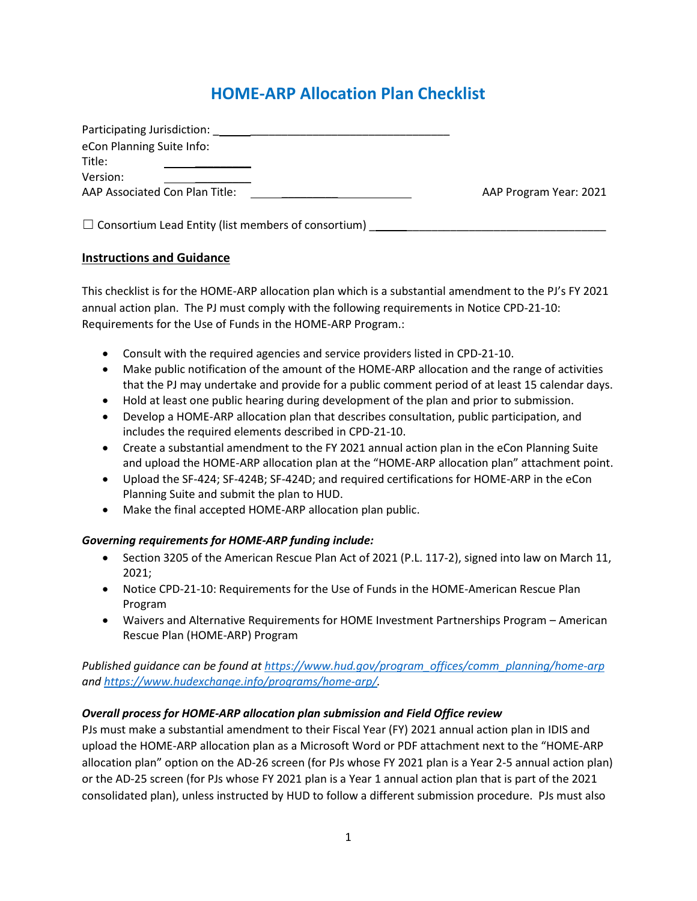# **HOME-ARP Allocation Plan Checklist**

| Participating Jurisdiction:    |                        |
|--------------------------------|------------------------|
| eCon Planning Suite Info:      |                        |
| Title:                         |                        |
| Version:                       |                        |
| AAP Associated Con Plan Title: | AAP Program Year: 2021 |

 $\Box$  Consortium Lead Entity (list members of consortium)

# **Instructions and Guidance**

This checklist is for the HOME-ARP allocation plan which is a substantial amendment to the PJ's FY 2021 annual action plan. The PJ must comply with the following requirements in Notice CPD-21-10: Requirements for the Use of Funds in the HOME-ARP Program.:

- Consult with the required agencies and service providers listed in CPD-21-10.
- Make public notification of the amount of the HOME-ARP allocation and the range of activities that the PJ may undertake and provide for a public comment period of at least 15 calendar days.
- Hold at least one public hearing during development of the plan and prior to submission.
- Develop a HOME-ARP allocation plan that describes consultation, public participation, and includes the required elements described in CPD-21-10.
- Create a substantial amendment to the FY 2021 annual action plan in the eCon Planning Suite and upload the HOME-ARP allocation plan at the "HOME-ARP allocation plan" attachment point.
- Upload the SF-424; SF-424B; SF-424D; and required certifications for HOME-ARP in the eCon Planning Suite and submit the plan to HUD.
- Make the final accepted HOME-ARP allocation plan public.

# *Governing requirements for HOME-ARP funding include:*

- Section 3205 of the American Rescue Plan Act of 2021 (P.L. 117-2), signed into law on March 11, 2021;
- Notice CPD-21-10: Requirements for the Use of Funds in the HOME-American Rescue Plan Program
- Waivers and Alternative Requirements for HOME Investment Partnerships Program American Rescue Plan (HOME-ARP) Program

*Published guidance can be found at [https://www.hud.gov/program\\_offices/comm\\_planning/home-arp](https://www.hud.gov/program_offices/comm_planning/home-arp) and [https://www.hudexchange.info/programs/home-arp/.](https://www.hudexchange.info/programs/home-arp/)*

# *Overall process for HOME-ARP allocation plan submission and Field Office review*

PJs must make a substantial amendment to their Fiscal Year (FY) 2021 annual action plan in IDIS and upload the HOME-ARP allocation plan as a Microsoft Word or PDF attachment next to the "HOME-ARP allocation plan" option on the AD-26 screen (for PJs whose FY 2021 plan is a Year 2-5 annual action plan) or the AD-25 screen (for PJs whose FY 2021 plan is a Year 1 annual action plan that is part of the 2021 consolidated plan), unless instructed by HUD to follow a different submission procedure. PJs must also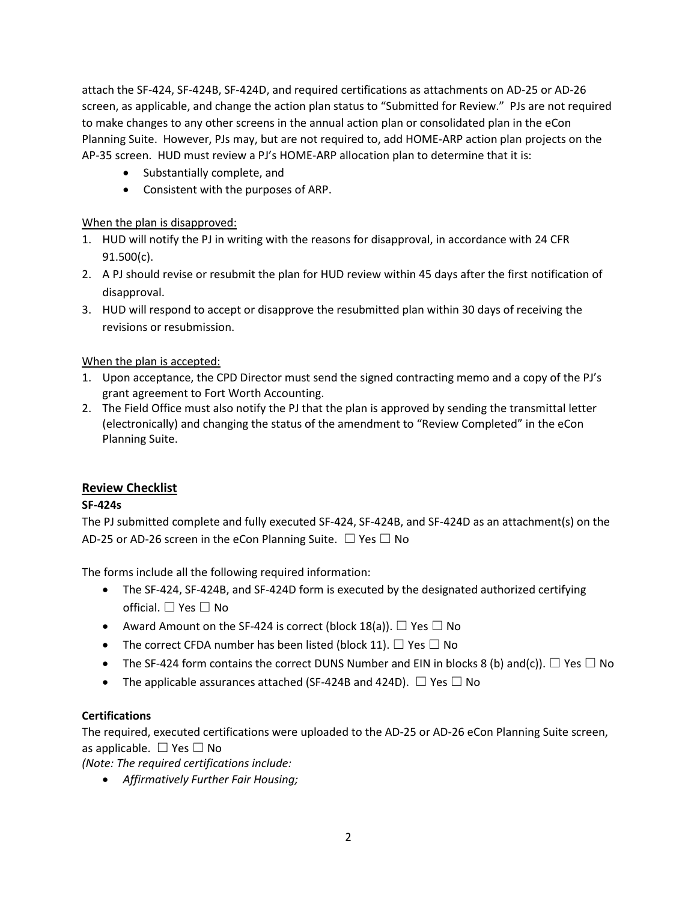attach the SF-424, SF-424B, SF-424D, and required certifications as attachments on AD-25 or AD-26 screen, as applicable, and change the action plan status to "Submitted for Review." PJs are not required to make changes to any other screens in the annual action plan or consolidated plan in the eCon Planning Suite. However, PJs may, but are not required to, add HOME-ARP action plan projects on the AP-35 screen. HUD must review a PJ's HOME-ARP allocation plan to determine that it is:

- Substantially complete, and
- Consistent with the purposes of ARP.

## When the plan is disapproved:

- 1. HUD will notify the PJ in writing with the reasons for disapproval, in accordance with 24 [CFR](https://www.ecfr.gov/cgi-bin/text-idx?node=pt24.1.91&rgn=div5#se24.1.91_1500) [91.500\(c\).](https://www.ecfr.gov/cgi-bin/text-idx?node=pt24.1.91&rgn=div5#se24.1.91_1500)
- 2. A PJ should revise or resubmit the plan for HUD review within 45 days after the first notification of disapproval.
- 3. HUD will respond to accept or disapprove the resubmitted plan within 30 days of receiving the revisions or resubmission.

#### When the plan is accepted:

- 1. Upon acceptance, the CPD Director must send the signed contracting memo and a copy of the PJ's grant agreement to Fort Worth Accounting.
- 2. The Field Office must also notify the PJ that the plan is approved by sending the transmittal letter (electronically) and changing the status of the amendment to "Review Completed" in the eCon Planning Suite.

## **Review Checklist**

## **SF-424s**

The PJ submitted complete and fully executed SF-424, SF-424B, and SF-424D as an attachment(s) on the AD-25 or AD-26 screen in the eCon Planning Suite.  $\Box$  Yes  $\Box$  No

The forms include all the following required information:

- The SF-424, SF-424B, and SF-424D form is executed by the designated authorized certifying official. ☐ Yes ☐ No
- Award Amount on the SF-424 is correct (block 18(a)).  $\Box$  Yes  $\Box$  No
- The correct CFDA number has been listed (block 11).  $\Box$  Yes  $\Box$  No
- The SF-424 form contains the correct DUNS Number and EIN in blocks 8 (b) and(c)).  $\Box$  Yes  $\Box$  No
- The applicable assurances attached (SF-424B and 424D).  $\Box$  Yes  $\Box$  No

## **Certifications**

The required, executed certifications were uploaded to the AD-25 or AD-26 eCon Planning Suite screen, as applicable.  $\Box$  Yes  $\Box$  No

*(Note: The required certifications include:*

*Affirmatively Further Fair Housing;*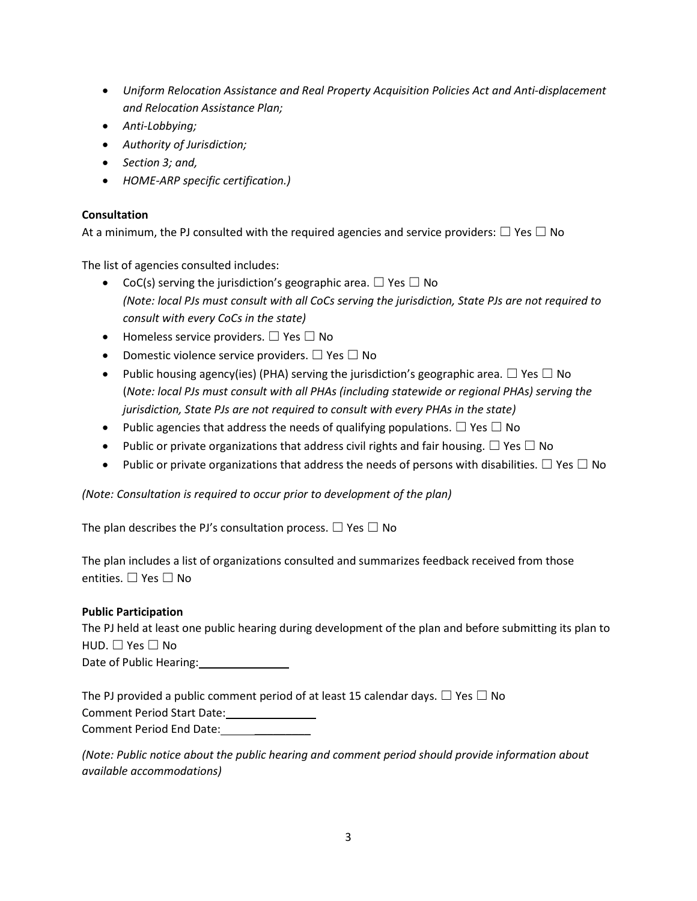- *Uniform Relocation Assistance and Real Property Acquisition Policies Act and Anti-displacement and Relocation Assistance Plan;*
- *Anti-Lobbying;*
- *Authority of Jurisdiction;*
- *Section 3; and,*
- *HOME-ARP specific certification.)*

## **Consultation**

At a minimum, the PJ consulted with the required agencies and service providers:  $\Box$  Yes  $\Box$  No

The list of agencies consulted includes:

- CoC(s) serving the jurisdiction's geographic area.  $\Box$  Yes  $\Box$  No *(Note: local PJs must consult with all CoCs serving the jurisdiction, State PJs are not required to consult with every CoCs in the state)*
- Homeless service providers.  $\Box$  Yes  $\Box$  No
- Domestic violence service providers.  $\Box$  Yes  $\Box$  No
- Public housing agency(ies) (PHA) serving the jurisdiction's geographic area.  $\Box$  Yes  $\Box$  No (*Note: local PJs must consult with all PHAs (including statewide or regional PHAs) serving the jurisdiction, State PJs are not required to consult with every PHAs in the state)*
- Public agencies that address the needs of qualifying populations.  $\Box$  Yes  $\Box$  No
- Public or private organizations that address civil rights and fair housing.  $\Box$  Yes  $\Box$  No
- Public or private organizations that address the needs of persons with disabilities.  $\Box$  Yes  $\Box$  No

*(Note: Consultation is required to occur prior to development of the plan)*

The plan describes the PJ's consultation process.  $\Box$  Yes  $\Box$  No

The plan includes a list of organizations consulted and summarizes feedback received from those entities. □ Yes □ No

## **Public Participation**

The PJ held at least one public hearing during development of the plan and before submitting its plan to HUD. □ Yes □ No

Date of Public Hearing: [1995]

\_\_\_\_\_\_\_\_\_ The PJ provided a public comment period of at least 15 calendar days.  $\Box$  Yes  $\Box$  No Comment Period Start Date: Comment Period End Date: \_\_\_\_\_\_\_\_\_

*(Note: Public notice about the public hearing and comment period should provide information about available accommodations)*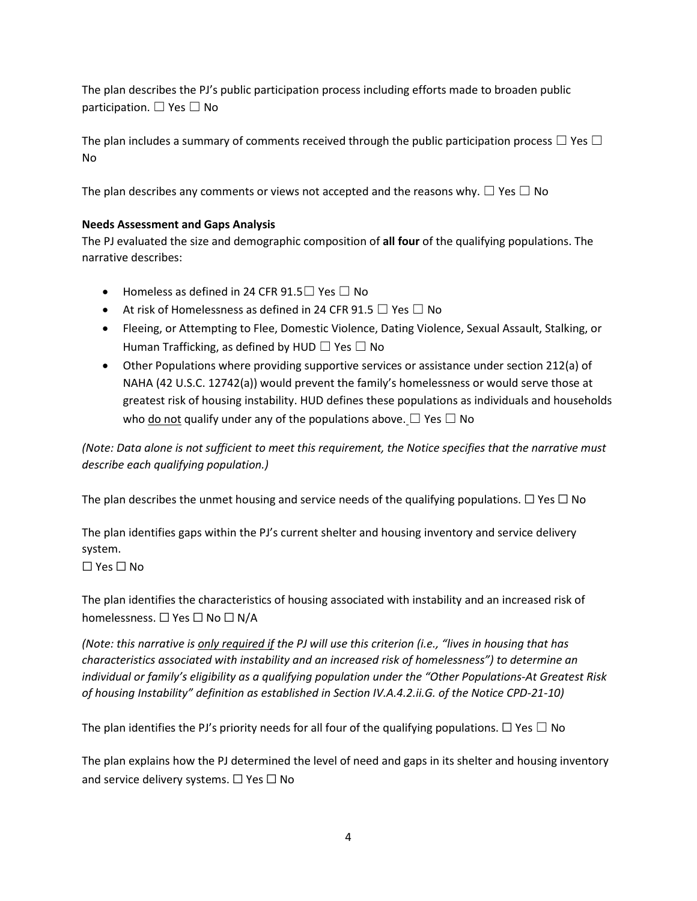The plan describes the PJ's public participation process including efforts made to broaden public participation.  $\Box$  Yes  $\Box$  No

The plan includes a summary of comments received through the public participation process  $\Box$  Yes  $\Box$ No

The plan describes any comments or views not accepted and the reasons why.  $\Box$  Yes  $\Box$  No

## **Needs Assessment and Gaps Analysis**

The PJ evaluated the size and demographic composition of **all four** of the qualifying populations. The narrative describes:

- Homeless as defined in 24 CFR 91.5 $\Box$  Yes  $\Box$  No
- At risk of Homelessness as defined in 24 CFR 91.5  $\Box$  Yes  $\Box$  No
- Fleeing, or Attempting to Flee, Domestic Violence, Dating Violence, Sexual Assault, Stalking, or Human Trafficking, as defined by HUD  $\Box$  Yes  $\Box$  No
- Other Populations where providing supportive services or assistance under section 212(a) of NAHA (42 U.S.C. 12742(a)) would prevent the family's homelessness or would serve those at greatest risk of housing instability. HUD defines these populations as individuals and households who do not qualify under any of the populations above.  $\Box$  Yes  $\Box$  No

*(Note: Data alone is not sufficient to meet this requirement, the Notice specifies that the narrative must describe each qualifying population.)*

The plan describes the unmet housing and service needs of the qualifying populations.  $\Box$  Yes  $\Box$  No

The plan identifies gaps within the PJ's current shelter and housing inventory and service delivery system.

☐ Yes ☐ No

The plan identifies the characteristics of housing associated with instability and an increased risk of homelessness. ☐ Yes ☐ No ☐ N/A

*(Note: this narrative is only required if the PJ will use this criterion (i.e., "lives in housing that has characteristics associated with instability and an increased risk of homelessness") to determine an individual or family's eligibility as a qualifying population under the "Other Populations-At Greatest Risk of housing Instability" definition as established in Section IV.A.4.2.ii.G. of the Notice CPD-21-10)*

The plan identifies the PJ's priority needs for all four of the qualifying populations.  $\Box$  Yes  $\Box$  No

The plan explains how the PJ determined the level of need and gaps in its shelter and housing inventory and service delivery systems.  $\Box$  Yes  $\Box$  No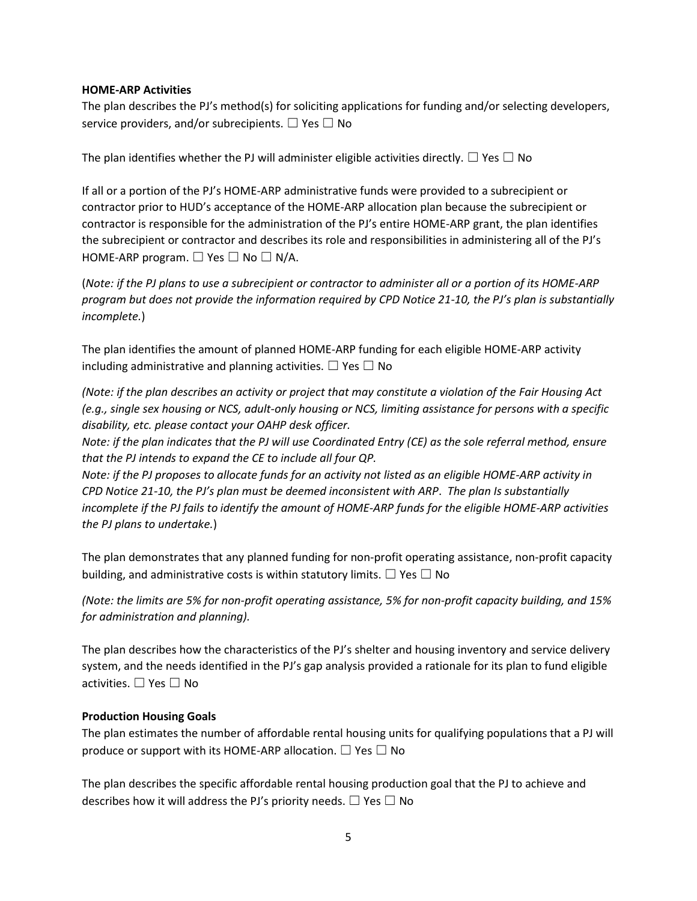#### **HOME-ARP Activities**

The plan describes the PJ's method(s) for soliciting applications for funding and/or selecting developers, service providers, and/or subrecipients.  $\Box$  Yes  $\Box$  No

The plan identifies whether the PJ will administer eligible activities directly.  $\Box$  Yes  $\Box$  No

If all or a portion of the PJ's HOME-ARP administrative funds were provided to a subrecipient or contractor prior to HUD's acceptance of the HOME-ARP allocation plan because the subrecipient or contractor is responsible for the administration of the PJ's entire HOME-ARP grant, the plan identifies the subrecipient or contractor and describes its role and responsibilities in administering all of the PJ's HOME-ARP program.  $\Box$  Yes  $\Box$  No  $\Box$  N/A.

(Note: if the PJ plans to use a subrecipient or contractor to administer all or a portion of its HOME-ARP *program but does not provide the information required by CPD Notice 21-10, the PJ's plan is substantially incomplete.*)

The plan identifies the amount of planned HOME-ARP funding for each eligible HOME-ARP activity including administrative and planning activities.  $\Box$  Yes  $\Box$  No

*(Note: if the plan describes an activity or project that may constitute a violation of the Fair Housing Act (e.g., single sex housing or NCS, adult-only housing or NCS, limiting assistance for persons with a specific disability, etc. please contact your OAHP desk officer.*

Note: if the plan indicates that the PJ will use Coordinated Entry (CE) as the sole referral method, ensure *that the PJ intends to expand the CE to include all four QP.*

*Note: if the PJ proposes to allocate funds for an activity not listed as an eligible HOME-ARP activity in CPD Notice 21-10, the PJ's plan must be deemed inconsistent with ARP*. *The plan Is substantially incomplete if the PJ fails to identify the amount of HOME-ARP funds for the eligible HOME-ARP activities the PJ plans to undertake.*)

The plan demonstrates that any planned funding for non-profit operating assistance, non-profit capacity building, and administrative costs is within statutory limits.  $\Box$  Yes  $\Box$  No

*(Note: the limits are 5% for non-profit operating assistance, 5% for non-profit capacity building, and 15% for administration and planning).*

The plan describes how the characteristics of the PJ's shelter and housing inventory and service delivery system, and the needs identified in the PJ's gap analysis provided a rationale for its plan to fund eligible activities. ☐ Yes ☐ No

#### **Production Housing Goals**

The plan estimates the number of affordable rental housing units for qualifying populations that a PJ will produce or support with its HOME-ARP allocation.  $\Box$  Yes  $\Box$  No

The plan describes the specific affordable rental housing production goal that the PJ to achieve and describes how it will address the PJ's priority needs.  $\Box$  Yes  $\Box$  No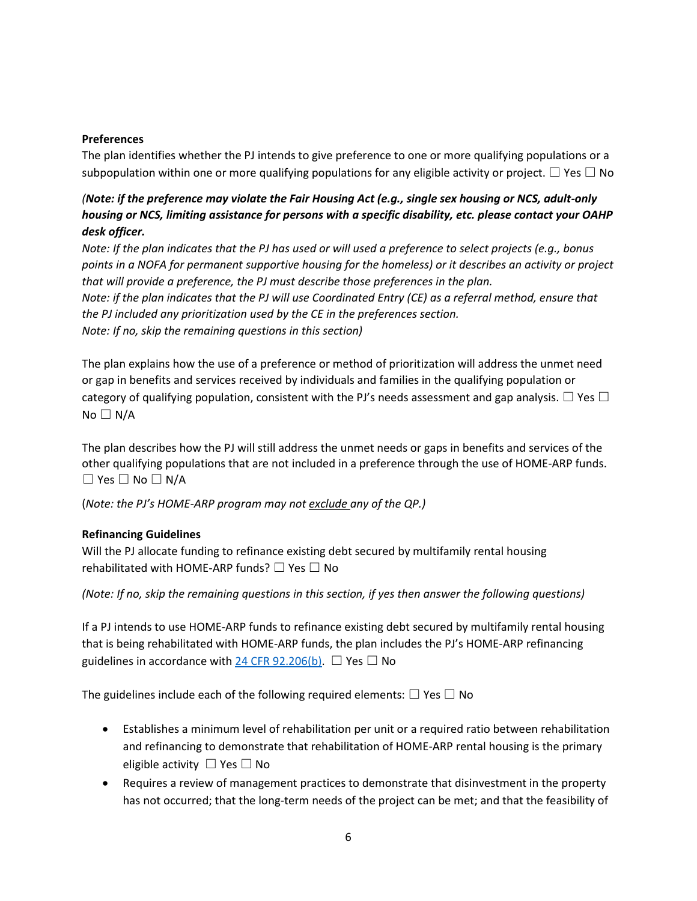#### **Preferences**

The plan identifies whether the PJ intends to give preference to one or more qualifying populations or a subpopulation within one or more qualifying populations for any eligible activity or project.  $\Box$  Yes  $\Box$  No

## *(Note: if the preference may violate the Fair Housing Act (e.g., single sex housing or NCS, adult-only housing or NCS, limiting assistance for persons with a specific disability, etc. please contact your OAHP desk officer.*

*Note: If the plan indicates that the PJ has used or will used a preference to select projects (e.g., bonus points in a NOFA for permanent supportive housing for the homeless) or it describes an activity or project that will provide a preference, the PJ must describe those preferences in the plan. Note: if the plan indicates that the PJ will use Coordinated Entry (CE) as a referral method, ensure that the PJ included any prioritization used by the CE in the preferences section. Note: If no, skip the remaining questions in this section)*

The plan explains how the use of a preference or method of prioritization will address the unmet need or gap in benefits and services received by individuals and families in the qualifying population or category of qualifying population, consistent with the PJ's needs assessment and gap analysis.  $\Box$  Yes  $\Box$  $No \square N/A$ 

The plan describes how the PJ will still address the unmet needs or gaps in benefits and services of the other qualifying populations that are not included in a preference through the use of HOME-ARP funds.  $\Box$  Yes  $\Box$  No  $\Box$  N/A

(*Note: the PJ's HOME-ARP program may not exclude any of the QP.)*

#### **Refinancing Guidelines**

Will the PJ allocate funding to refinance existing debt secured by multifamily rental housing rehabilitated with HOME-ARP funds?  $\square$  Yes  $\square$  No

*(Note: If no, skip the remaining questions in this section, if yes then answer the following questions)*

If a PJ intends to use HOME-ARP funds to refinance existing debt secured by multifamily rental housing that is being rehabilitated with HOME-ARP funds, the plan includes the PJ's HOME-ARP refinancing guidelines in accordance with 24 [CFR 92.206\(b\).](https://www.ecfr.gov/cgi-bin/text-idx?SID=273620a3dcadf1c5e247ef949a4fd87c&mc=true&node=se24.1.92_1206&rgn=div8)  $\Box$  Yes  $\Box$  No

The guidelines include each of the following required elements:  $\Box$  Yes  $\Box$  No

- Establishes a minimum level of rehabilitation per unit or a required ratio between rehabilitation and refinancing to demonstrate that rehabilitation of HOME-ARP rental housing is the primary eligible activity  $\Box$  Yes  $\Box$  No
- Requires a review of management practices to demonstrate that disinvestment in the property has not occurred; that the long-term needs of the project can be met; and that the feasibility of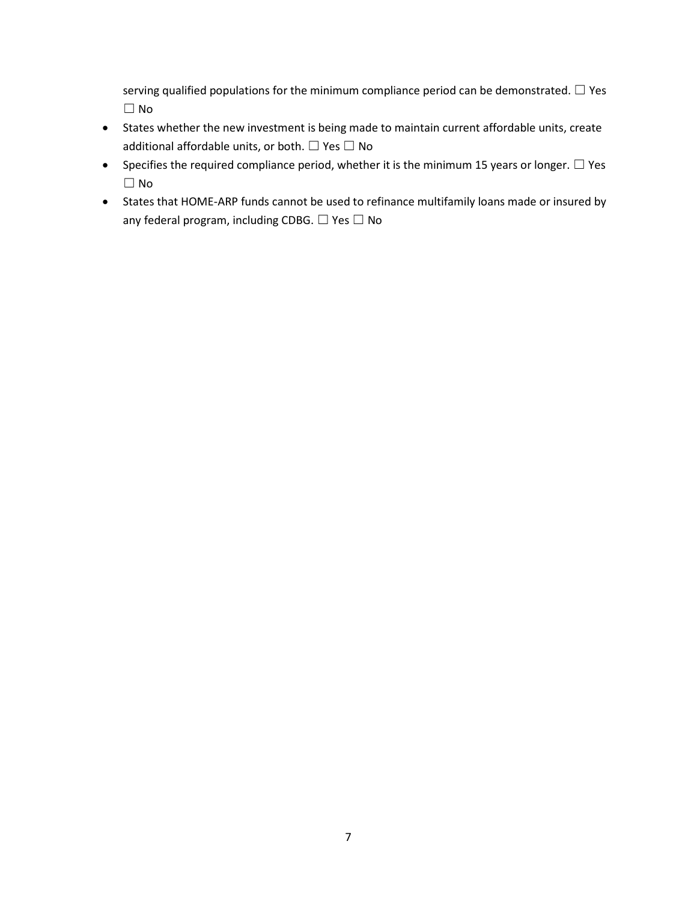serving qualified populations for the minimum compliance period can be demonstrated.  $\Box$  Yes  $\square$  No

- States whether the new investment is being made to maintain current affordable units, create additional affordable units, or both.  $\Box$  Yes  $\Box$  No
- Specifies the required compliance period, whether it is the minimum 15 years or longer.  $\Box$  Yes ☐ No
- States that HOME-ARP funds cannot be used to refinance multifamily loans made or insured by any federal program, including CDBG.  $\Box$  Yes  $\Box$  No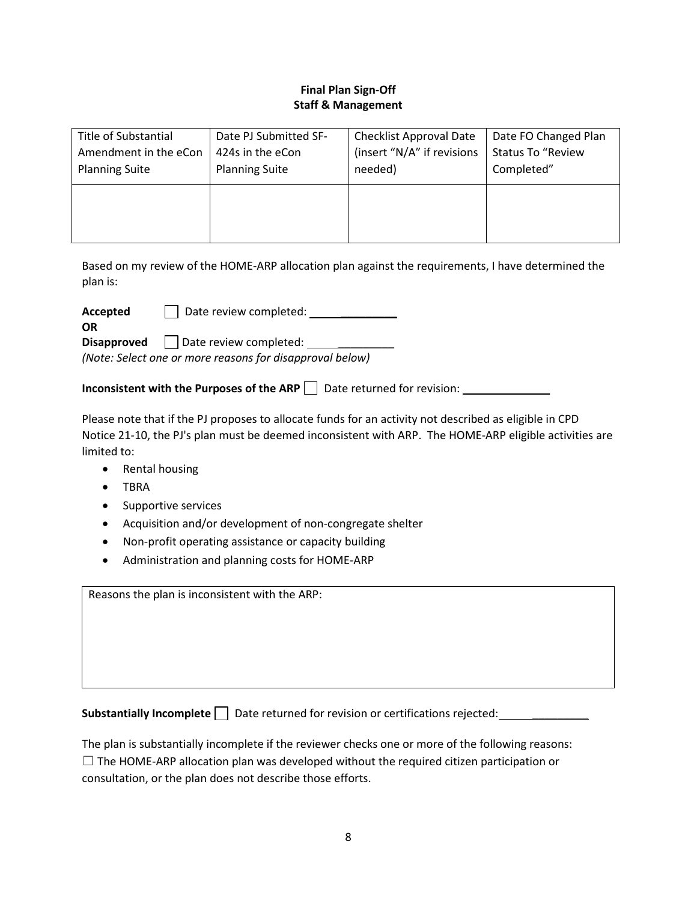#### **Final Plan Sign-Off Staff & Management**

| Title of Substantial  | Date PJ Submitted SF- | <b>Checklist Approval Date</b> | Date FO Changed Plan     |
|-----------------------|-----------------------|--------------------------------|--------------------------|
| Amendment in the eCon | 424s in the eCon      | (insert "N/A" if revisions     | <b>Status To "Review</b> |
| <b>Planning Suite</b> | <b>Planning Suite</b> | needed)                        | Completed"               |
|                       |                       |                                |                          |
|                       |                       |                                |                          |
|                       |                       |                                |                          |
|                       |                       |                                |                          |
|                       |                       |                                |                          |

Based on my review of the HOME-ARP allocation plan against the requirements, I have determined the plan is:

\_\_\_\_\_\_\_\_\_ **Accepted** Date review completed: \_\_\_\_\_\_\_\_\_ **Disapproved** Date review completed: **OR**

*(Note: Select one or more reasons for disapproval below)*

**Inconsistent with the Purposes of the ARP**  $\Box$  Date returned for revision:  $\Box$ 

Please note that if the PJ proposes to allocate funds for an activity not described as eligible in CPD Notice 21-10, the PJ's plan must be deemed inconsistent with ARP. The HOME-ARP eligible activities are limited to:

- Rental housing
- TBRA
- Supportive services
- Acquisition and/or development of non-congregate shelter
- Non-profit operating assistance or capacity building
- Administration and planning costs for HOME-ARP

Reasons the plan is inconsistent with the ARP:

**Substantially Incomplete** Date returned for revision or certifications rejected:

The plan is substantially incomplete if the reviewer checks one or more of the following reasons:  $\Box$  The HOME-ARP allocation plan was developed without the required citizen participation or consultation, or the plan does not describe those efforts.